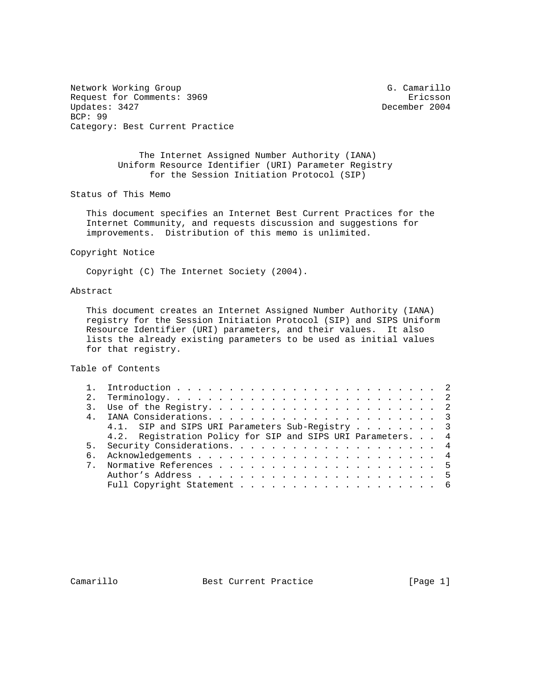Network Working Group G. Camarillo Request for Comments: 3969 Ericsson<br>Updates: 3427 Ericsson BCP: 99 Category: Best Current Practice

December 2004

 The Internet Assigned Number Authority (IANA) Uniform Resource Identifier (URI) Parameter Registry for the Session Initiation Protocol (SIP)

Status of This Memo

 This document specifies an Internet Best Current Practices for the Internet Community, and requests discussion and suggestions for improvements. Distribution of this memo is unlimited.

Copyright Notice

Copyright (C) The Internet Society (2004).

## Abstract

 This document creates an Internet Assigned Number Authority (IANA) registry for the Session Initiation Protocol (SIP) and SIPS Uniform Resource Identifier (URI) parameters, and their values. It also lists the already existing parameters to be used as initial values for that registry.

Table of Contents

|  | 4.1. SIP and SIPS URI Parameters Sub-Registry 3            |  |
|--|------------------------------------------------------------|--|
|  | 4.2. Registration Policy for SIP and SIPS URI Parameters 4 |  |
|  |                                                            |  |
|  |                                                            |  |
|  |                                                            |  |
|  |                                                            |  |
|  |                                                            |  |
|  |                                                            |  |

Camarillo Best Current Practice [Page 1]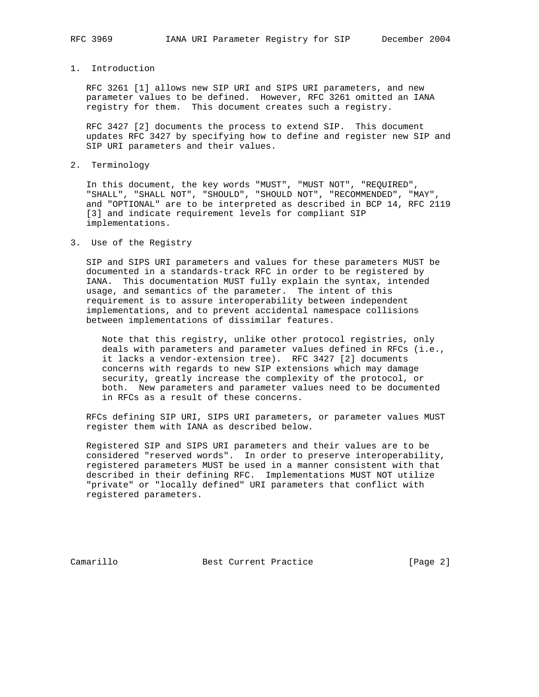1. Introduction

 RFC 3261 [1] allows new SIP URI and SIPS URI parameters, and new parameter values to be defined. However, RFC 3261 omitted an IANA registry for them. This document creates such a registry.

 RFC 3427 [2] documents the process to extend SIP. This document updates RFC 3427 by specifying how to define and register new SIP and SIP URI parameters and their values.

2. Terminology

 In this document, the key words "MUST", "MUST NOT", "REQUIRED", "SHALL", "SHALL NOT", "SHOULD", "SHOULD NOT", "RECOMMENDED", "MAY", and "OPTIONAL" are to be interpreted as described in BCP 14, RFC 2119 [3] and indicate requirement levels for compliant SIP implementations.

3. Use of the Registry

 SIP and SIPS URI parameters and values for these parameters MUST be documented in a standards-track RFC in order to be registered by IANA. This documentation MUST fully explain the syntax, intended usage, and semantics of the parameter. The intent of this requirement is to assure interoperability between independent implementations, and to prevent accidental namespace collisions between implementations of dissimilar features.

 Note that this registry, unlike other protocol registries, only deals with parameters and parameter values defined in RFCs (i.e., it lacks a vendor-extension tree). RFC 3427 [2] documents concerns with regards to new SIP extensions which may damage security, greatly increase the complexity of the protocol, or both. New parameters and parameter values need to be documented in RFCs as a result of these concerns.

 RFCs defining SIP URI, SIPS URI parameters, or parameter values MUST register them with IANA as described below.

 Registered SIP and SIPS URI parameters and their values are to be considered "reserved words". In order to preserve interoperability, registered parameters MUST be used in a manner consistent with that described in their defining RFC. Implementations MUST NOT utilize "private" or "locally defined" URI parameters that conflict with registered parameters.

Camarillo Best Current Practice [Page 2]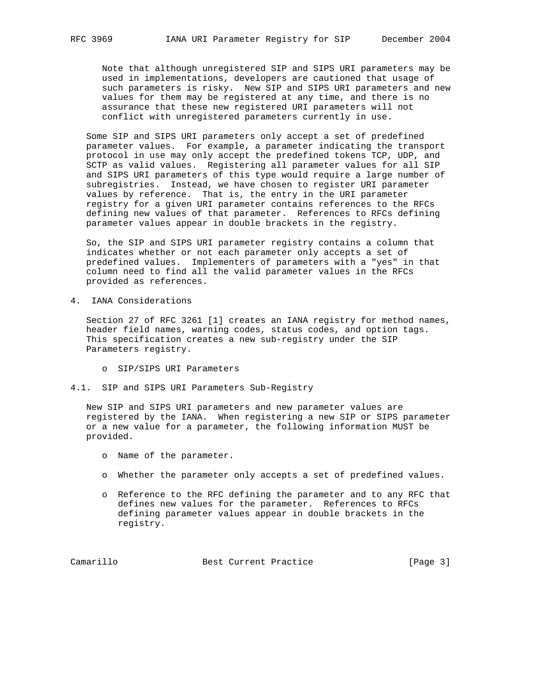Note that although unregistered SIP and SIPS URI parameters may be used in implementations, developers are cautioned that usage of such parameters is risky. New SIP and SIPS URI parameters and new values for them may be registered at any time, and there is no assurance that these new registered URI parameters will not conflict with unregistered parameters currently in use.

 Some SIP and SIPS URI parameters only accept a set of predefined parameter values. For example, a parameter indicating the transport protocol in use may only accept the predefined tokens TCP, UDP, and SCTP as valid values. Registering all parameter values for all SIP and SIPS URI parameters of this type would require a large number of subregistries. Instead, we have chosen to register URI parameter values by reference. That is, the entry in the URI parameter registry for a given URI parameter contains references to the RFCs defining new values of that parameter. References to RFCs defining parameter values appear in double brackets in the registry.

 So, the SIP and SIPS URI parameter registry contains a column that indicates whether or not each parameter only accepts a set of predefined values. Implementers of parameters with a "yes" in that column need to find all the valid parameter values in the RFCs provided as references.

4. IANA Considerations

 Section 27 of RFC 3261 [1] creates an IANA registry for method names, header field names, warning codes, status codes, and option tags. This specification creates a new sub-registry under the SIP Parameters registry.

- o SIP/SIPS URI Parameters
- 4.1. SIP and SIPS URI Parameters Sub-Registry

 New SIP and SIPS URI parameters and new parameter values are registered by the IANA. When registering a new SIP or SIPS parameter or a new value for a parameter, the following information MUST be provided.

- o Name of the parameter.
- o Whether the parameter only accepts a set of predefined values.
- o Reference to the RFC defining the parameter and to any RFC that defines new values for the parameter. References to RFCs defining parameter values appear in double brackets in the registry.

Camarillo Best Current Practice [Page 3]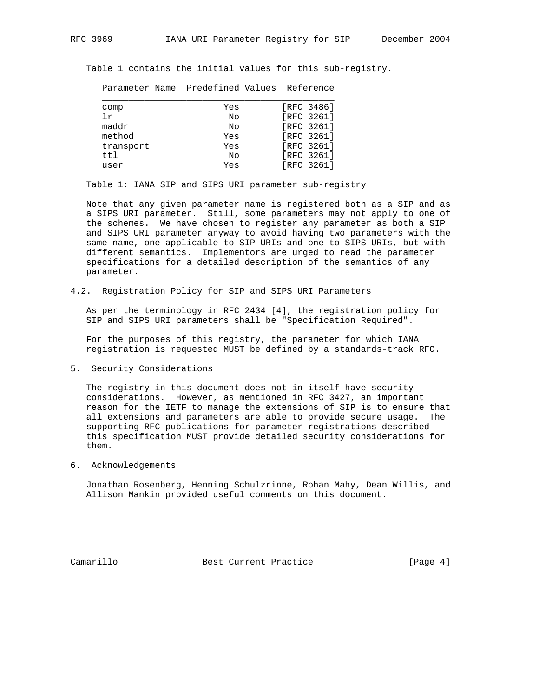Table 1 contains the initial values for this sub-registry.

Parameter Name Predefined Values Reference

| comp      | Yes | [RFC 3486] |
|-----------|-----|------------|
| Τr        | No  | [RFC 3261] |
| maddr     | No  | [RFC 3261] |
| method    | Yes | [RFC 3261] |
| transport | Yes | FRFC 32611 |
| ttl       | No  | [RFC 3261] |
| user      | Yes | FRFC 32611 |
|           |     |            |

Table 1: IANA SIP and SIPS URI parameter sub-registry

 Note that any given parameter name is registered both as a SIP and as a SIPS URI parameter. Still, some parameters may not apply to one of the schemes. We have chosen to register any parameter as both a SIP and SIPS URI parameter anyway to avoid having two parameters with the same name, one applicable to SIP URIs and one to SIPS URIs, but with different semantics. Implementors are urged to read the parameter specifications for a detailed description of the semantics of any parameter.

4.2. Registration Policy for SIP and SIPS URI Parameters

 As per the terminology in RFC 2434 [4], the registration policy for SIP and SIPS URI parameters shall be "Specification Required".

 For the purposes of this registry, the parameter for which IANA registration is requested MUST be defined by a standards-track RFC.

5. Security Considerations

 The registry in this document does not in itself have security considerations. However, as mentioned in RFC 3427, an important reason for the IETF to manage the extensions of SIP is to ensure that all extensions and parameters are able to provide secure usage. The supporting RFC publications for parameter registrations described this specification MUST provide detailed security considerations for them.

6. Acknowledgements

 Jonathan Rosenberg, Henning Schulzrinne, Rohan Mahy, Dean Willis, and Allison Mankin provided useful comments on this document.

Camarillo Best Current Practice [Page 4]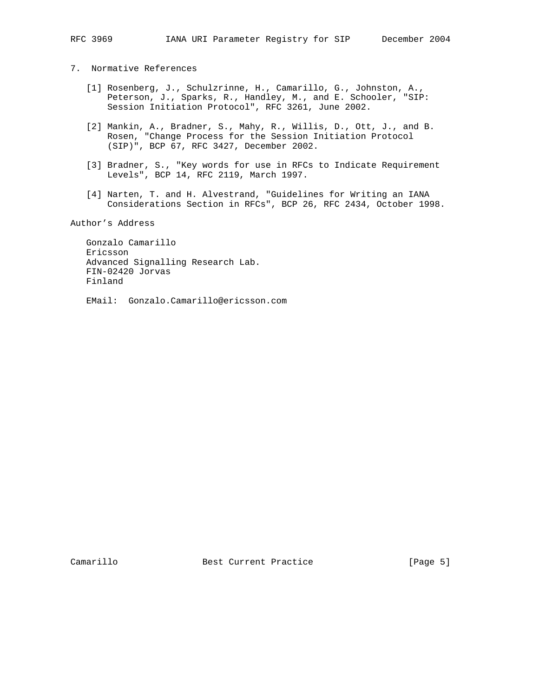- 7. Normative References
	- [1] Rosenberg, J., Schulzrinne, H., Camarillo, G., Johnston, A., Peterson, J., Sparks, R., Handley, M., and E. Schooler, "SIP: Session Initiation Protocol", RFC 3261, June 2002.
	- [2] Mankin, A., Bradner, S., Mahy, R., Willis, D., Ott, J., and B. Rosen, "Change Process for the Session Initiation Protocol (SIP)", BCP 67, RFC 3427, December 2002.
	- [3] Bradner, S., "Key words for use in RFCs to Indicate Requirement Levels", BCP 14, RFC 2119, March 1997.
	- [4] Narten, T. and H. Alvestrand, "Guidelines for Writing an IANA Considerations Section in RFCs", BCP 26, RFC 2434, October 1998.

Author's Address

 Gonzalo Camarillo Ericsson Advanced Signalling Research Lab. FIN-02420 Jorvas Finland

EMail: Gonzalo.Camarillo@ericsson.com

Camarillo Best Current Practice [Page 5]